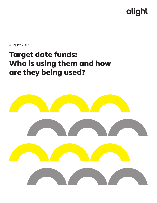# alight

August 2017

# Target date funds: Who is using them and how are they being used?

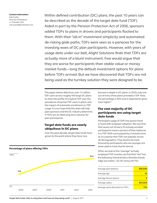Contact Information Rob Austin Director of Research +1.704.646.1260 rob.austin@aonhewitt.com

Within defined contribution (DC) plans, the past 10 years can be described as the decade of the target date fund (TDF). Aided in part by the Pension Protection Act of 2006, sponsors added TDFs to plans in droves and participants flocked to them. With their "all-in" investment simplicity and automated de-risking glide paths, TDFs were seen as a panacea for the investing woes of DC plan participants. However, with years of usage data under our belt, Alight Solutions finds that TDFs are actually more of a blunt instrument. Few would argue that they are worse for participants than stable value or money market funds—long the default investment options for plans before TDFs arrived. But we have discovered that TDFs are not being used as the turnkey solution they were designed to be.

This paper shares data from over 1.5 million TDF users across roughly 100 large DC plans to show the profile of a typical TDF user, the prevalence of partial TDF users in plans, and the impact of automatic enrollment on TDF usage. It is our hope that this data will help plan sponsors and the DC industry determine if TDFs are an ideal long-term solution for plan participants.

### Target date funds are nearly ubiquitous in DC plans

Over the past decade, target date funds have grown to the point where they have now

33+52+71+81+86+90 100% 0% 2005 2007 2009 2011 2013 2015 **33% 90%** become a staple in DC plans. In 2005, only one out of every three plans provided a TDF. Now, the percentage is 90% and is expected to grow even higher.<sup>1</sup>

# The vast majority of DC participants are using target date funds

Participant usage of TDFs has grown hand in hand with employer adoption. We now find that seven out of every 10 actively enrolled participants invest a portion of their balances in a TDF. With such popularity, it should come as no surprise that TDFs are popular across all demographics. They tend to be most favored by participants who are younger, are lower paid or have shorter tenure.

When we look at the "average" actively employed TDF investor, we find that "she" has the following characteristics (females barely edge out males—50.3% versus 49.7%):

| Average plan balance             | \$69,000 |
|----------------------------------|----------|
| Average age                      | 43       |
| Average tenure (years)           |          |
| Average salary                   | \$54,000 |
| Average asset allocation to TDFs | 71%      |
|                                  |          |

#### Percentage of plans offering TDFs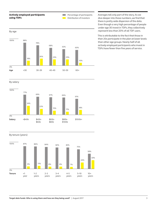### Actively employed participants using TDFs

Percentage of participants  $\sim 10$ **Contract** Distribution of investors

By age 88+ 78+ 68+ 63+ 60 18+ 26+ 23+ 23+ 10 <30 30–39 40–49 50–59 60+ 100% 0% 88% 78% 68% 63% 60% 18% 26% 23% 23% 10% **Age**

By salary



By tenure (years)



Averages tell only part of the story. As we dive deeper into these numbers, we find that there is pretty wide dispersion of the data. Even though a very high percentage of people under age 30 invest in TDFs, they collectively represent less than 20% of all TDF users.

This is attributable to the fact that those in their 20s participate in the plan at lower levels than other age groups. Nearly half of all actively employed participants who invest in TDFs have fewer than five years of service.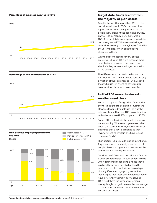#### Percentage of balances invested in TDFs



#### Percentage of new contributions to TDFs





## Target date funds are far from the majority of plan assets

Despite the fact that more than 70% of plan participants invest in TDFs, the asset class represents less than one-quarter of all the dollars in DC plans. At the beginning of 2016, only 23% of all money in DC plans was in TDFs. Even so, this is sizable growth from 6% a decade ago—and TDFs are now the largest asset class in many DC plans, largely fueled by the vast majority of new contributions allocated to them.

Why the disconnect? If so many people are using TDFs and TDFs are receiving more contributions than any other asset class, shouldn't they represent a larger proportion of the balances?

The difference can be attributed to two primary factors: First, many people allocate only a fraction of their balances to TDFs. Second, those who use TDFs tend to have smaller balances than those who do not use them.

# Half of TDF users also invest in another asset class

Part of the appeal of target date funds is that they are designed to be an all-in investment. However, fewer individuals use TDFs as their sole investment than use TDFs in conjunction with other funds—49.7% compared to 50.3%.

Some of this behavior is the result of a lack of understanding. When employees were asked about the features of TDFs, only 9% correctly answered that a TDF is designed so that investors need to invest in one fund instead of several funds.<sup>2</sup>

High partial TDF use could also be intentional. Target date funds inherently assume that all people of a similar age should be invested the same way. But heterogeneity exists.

Consider two 50-year-old participants: One has a large grandfathered DB plan benefit, a child who has finished college and a house that's paid off. The other is not eligible for a DB plan, and has children just starting college plus significant mortgage payments. Most would agree that these two employees should have different investment portfolios, but TDFs treat them the same way. Perhaps unsurprisingly, as age increases the percentage of participants who use TDFs as their entire portfolio *decreases*.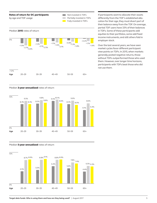

If participants want to allocate their assets differently from the TDF's established allocation for their age, they must divert part of their balance away from the TDF. On average, partial TDF users have 33% of their balances in TDFs. Some of these participants add equities to their portfolios, some add fixed income instruments, and still others fold in employer stock.

Over the last several years, we have seen market cycles favor different participant view-points on TDFs. In 2015, when markets generally posted negative returns, those without TDFs outperformed those who used them. However, over longer time horizons, participants with TDFs beat those who did not use them.

#### Median 3-year annualized rates of return





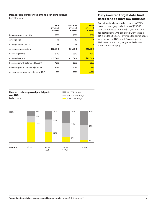#### Demographic differences among plan participants

by TDF usage

|                                      | <b>Not</b><br>invested<br>in TDFs | Partially<br>invested<br>in TDFs | <b>Fully</b><br>invested<br>in TDFs |
|--------------------------------------|-----------------------------------|----------------------------------|-------------------------------------|
| Percentage of population             | 29%                               | 36%                              | 35%                                 |
| Average age                          | 48                                | 45                               | 40                                  |
| Average tenure (years)               | 14                                | 19                               | 6                                   |
| Average compensation                 | \$62,000                          | \$64,000                         | \$46,000                            |
| Percentage male                      | 57%                               | 55%                              | 45%                                 |
| Average balance                      | \$137,000                         | \$111,000                        | \$26,000                            |
| Percentage with balance <\$10,000    | 17%                               | 22%                              | 62%                                 |
| Percentage with balance >\$100,000   | 37%                               | 30%                              | 6%                                  |
| Average percentage of balance in TDF | 0%                                | 33%                              | 100%                                |

# Fully invested target date fund users tend to have low balances

Participants who are fully invested in TDFs have an average plan balance of \$25,565, substantially less than the \$111,938 average for participants who are partially invested in TDFs and the \$136,704 average for participants who do not use TDFs at all. On average, full TDF users tend to be younger with shorter tenure and lower pay.

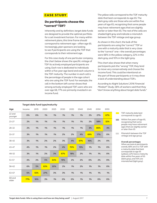# **CASE STUDY**

# Do participants choose the "correct" TDF?

Inherently and by definition, target date funds are designed to provide the optimal portfolio for a set investment horizon. For many within retirement plans, this time frame should correspond to retirement age—often age 65. Increasingly, plan sponsors are looking to see if participants are using the TDF that corresponds to their retirement age.

For this case study of one particular company, the chart below shows the specific vintage of TDF its actively employed participants are using. Each row is dedicated to individuals within a five-year age band and each column is the TDF maturity. The number in each cell is the percentage of people in the age cohort who are using the TDF fund. For example, the cell in the bottom left corner shows that among actively employed TDF users who are over age 68, 77% are primarily invested in an income fund.

The yellow cells correspond to the TDF maturity date that best corresponds to age 65. The dark gray cells are those who are within five years of age 65, recognizing that some people may have retirement ages that are slightly earlier or later than 65. The rest of the cells are shaded light gray and indicate a mismatch between the TDF vintage and age group.

As shown in this chart, the bulk of the participants are using the "correct" TDF or one with a maturity date that is very close to the "correct" one—the overall percentages were 68% in the yellow category, 22% in the dark gray, and 10% in the light gray.

This chart also shows that when many participants pick the "wrong" TDF, they tend to move very conservatively and choose the income fund. This could be intentional on the part of those participants or it may show a lack of understanding about TDFs.

According to Alight Solutions' *2016 Financial Mindset® Study*, 58% of workers said that they "don't know anything about target date funds."

|                   | rurget dute rund type/mutumty |      |      |      |      |      |      |      |      |      |
|-------------------|-------------------------------|------|------|------|------|------|------|------|------|------|
| Age               | Income                        | 2015 | 2020 | 2025 | 2030 | 2035 | 2040 | 2045 | 2050 | 2055 |
| 22 and<br>younger | 0%                            | 0%   | 1%   | 1%   | 1%   | 1%   | 1%   | 2%   | 27%  | 67%  |
| $23 - 27$         | 2%                            | 1%   | 1%   | 1%   | 1%   | 1%   | 1%   | 2%   | 58%  | 32%  |
| $28 - 32$         | 2%                            | 1%   | 1%   | 1%   | 1%   | 1%   | 1%   | 3%   | 86%  | 4%   |
| $33 - 37$         | 3%                            | 1%   | 1%   | 1%   | 2%   | 2%   | 4%   | 69%  | 17%  | 0%   |
| $38 - 42$         | 3%                            | 1%   | 2%   | 2%   | 3%   | 4%   | 67%  | 16%  | 2%   | 0%   |
| $43 - 47$         | 4%                            | 1%   | 1%   | 2%   | 4%   | 70%  | 15%  | 1%   | 1%   | 0%   |
| $48 - 52$         | 3%                            | 1%   | 2%   | 3%   | 67%  | 18%  | 2%   | 1%   | 1%   | 0%   |
| $53 - 57$         | 4%                            | 2%   | 5%   | 64%  | 19%  | 2%   | 2%   | 0%   | 2%   | 0%   |
| $58 - 62$         | 6%                            | 5%   | 63%  | 20%  | 2%   | 1%   | 2%   | 1%   | 1%   | 0%   |
| $63 - 67$         | 6%                            | 55%  | 27%  | 3%   | 3%   | 1%   | 1%   | 1%   | 1%   | 1%   |
| 68 and<br>older   | 77%                           | 16%  | 3%   | 1%   | 0%   | 0%   | 1%   | 1%   | 0%   | 0%   |

#### **Target date fund type/maturity**

- TDF maturity date best corresponds to age 65
- Within five years of age 65, recognizing that some people may have retirement ages that are slightly earlier or later than 65
- Mismatch between the TDF **Contract** vintage and age group

#### **Overall percentages**

When we look at participants overall, 68% are in a TDF with a maturity date that best corresponds to age 65 (yellow), 22% have a maturity date within five years of 65 (dark gray), and 10% are mismatched (light gray).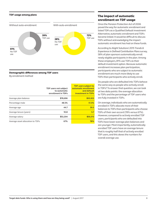#### TDF usage among plans



#### Demographic differences among TDF users

By enrollment method

|                                  | TDF users not subject<br>to automatic<br>enrollment in TDFs | <b>TDF users subject to</b><br>automatic enrollment<br>and default<br><b>investment in TDFs</b> |
|----------------------------------|-------------------------------------------------------------|-------------------------------------------------------------------------------------------------|
| Average plan balance             | \$78,696                                                    | \$50,923                                                                                        |
| Percentage male                  | 48.5%                                                       | 51.5%                                                                                           |
| Average age                      | 44.7                                                        | 39.5                                                                                            |
| Average tenure (years)           | 10.8                                                        | 5.7                                                                                             |
| Average salary                   | \$53,204                                                    | \$56,013                                                                                        |
| Average asset allocation to TDFs | 67%                                                         | 78%                                                                                             |

# The impact of automatic enrollment on TDF usage

Once the Pension Protection Act of 2006 paved the way for automatic enrollment and listed TDFs as a Qualified Default Investment Alternative, automatic enrollment and TDFs became linked. It would be difficult to discuss TDFs without acknowledging the impact automatic enrollment has had on these funds.

According to Alight Solutions' *2015 Trends & Experience in Defined Contribution Plans* survey, 58% of plan sponsors automatically enroll newly eligible participants in the plan. Among these employers, 81% use TDFs as their default investment option. Because automatic enrollment increases plan participation, participants who are subject to automatic enrollment are much more likely to use TDFs than participants who actively enroll.

Do people who are defaulted into TDFs behave the same way as people who actively enroll in TDFs? To answer that question, we can look at two data points: the average allocation to TDFs and the percentage of TDF users who are fully invested in TDFs.

On average, individuals who are automatically enrolled in TDFs allocate more of their balances to TDFs than participants who choose TDFs of their own accord (78% versus 67%). However, compared to actively enrolled TDF users, participants who are defaulted into TDFs have lower average plan balances and are younger. Most importantly, automatically enrolled TDF users have an average tenure that is roughly half that of actively enrolled TDF users, and this skews the numbers for overall average use.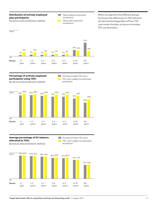

When we segment the different groups by tenure, the differences in TDF behavior are diminished. Regardless of how TDF users enter the plan, as tenure increases, TDF use decreases.



By tenure and enrollment method

**Actively enrolled TDF users** TDF users subject to automatic enrollment



Average percentage of DC balance allocated to TDFs

**Actively enrolled TDF users** TDF users subject to automatic enrollment

By tenure and enrollment method

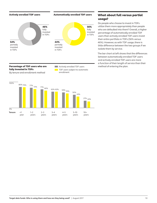Actively enrolled TDF users Automatically enrolled TDF users



# fully invested in TDFs By tenure and enrollment method

**Tenure** <1

0%

year

1–2 years



# $80\% 79\%$  77% 72% 71% 66% 62% 62% 59% 55% 50% 43% 43% 43% 43% 43% 62% 62% 59% 55% 50% 43% 43% 43% 43% 44% 66% 62% 62% 59% 55% 55% 56% 43% 44% 45 80% 79% 72% 71% 66% 62% 62% 59% 55% 50% 43% 27% 24% 100%

3–4 years

4–5 years

5–10 years  $10+$ years

2–3 years

# What about full versus partial usage?

Do people who choose to invest in TDFs utilize them more appropriately than people who are defaulted into them? Overall, a higher percentage of automatically enrolled TDF users than actively enrolled TDF users invest their entire portfolio in TDFs (56% versus 46%). However, as with TDF usage, there is little difference between the two groups if we isolate them by service.

The bar chart at left shows that the differences between automatically enrolled TDF users and actively enrolled TDF users are more a function of their length of service than their **Percentage of TDF users who are Mattively enrolled TDF users** method of entering the plan.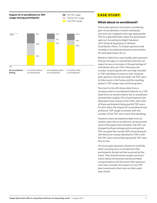

# **CASE STUDY**

# What about re-enrollment?

Some plan sponsors have been considering plan re-enrollments in which individuals' accounts are mapped to the age-appropriate TDF at a specified date unless the participant opts out. According to Alight Solutions' *2015 Trends & Experience in Defined Contribution Plans*, 7% of plan sponsors had recently re-enrolled participants and another 3% were planning to do so.

Based on data from case studies, plan sponsors that go through a re-enrollment exercise can expect to see an increase in the percentage of individuals who use TDFs. Moreover, the number of participants who are fully invested in TDFs will likely increase as well. However, plan sponsors should not expect all TDF users to fully invest in the funds, and the resulting spikes in TDF usage may not be long term.

The chart to the left shows data from a company that re-enrolled participants in a TDF. Data from six months before the re-enrollment showed that roughly 70% of participants had allocated some money to the TDFs, with most of these participants being partial TDF users. For this client, the impact of re-enrollment was profound: TDF usage increased, with the number of full TDF users more than doubling.

However, when we looked at data from six months after the re-enrollment, we found that some of the gains had retreated. Full TDF use dropped by 8 percentage points and partial TDF use grew. But overall, 80% of participants still had some money allocated to TDFs, with full TDF users outnumbering partial TDF users four to one.

Of course, plan sponsors should act carefully when carrying out a re-enrollment. Plan participants should not feel surprised by the event. They should receive ample communication about the process and be provided a long timeline until the event. Plan sponsors must also consider the impact on non-TDF plan investments that may see their asset sizes shrink.